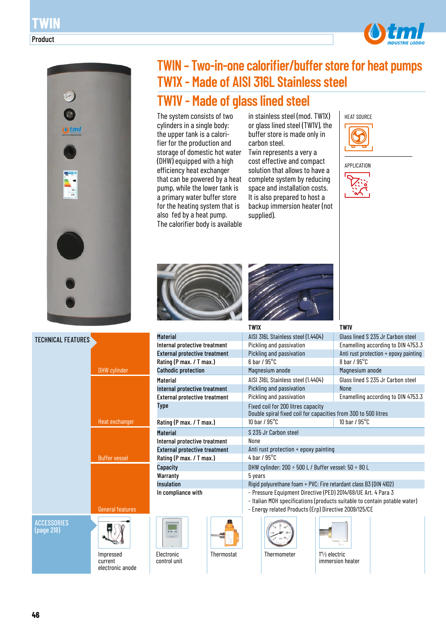



# DHW cylinder Buffer vessel Heat exchanger General features Impressed TECHNICAL FEATURES **ACCESSORIES** (page 218)

current electronic anode



The system consists of two cylinders in a single body: the upper tank is a calorifier for the production and storage of domestic hot water (DHW) equipped with a high efficiency heat exchanger that can be powered by a heat pump, while the lower tank is a primary water buffer store for the heating system that is also fed by a heat pump. The calorifier body is available

in stainless steel (mod. TW1X) or glass lined steel (TW1V), the buffer store is made only in carbon steel.

Twin represents a very a cost effective and compact solution that allows to have a complete system by reducing space and installation costs. It is also prepared to host a backup immersion heater (not supplied).







Internal protective treatment External protective treatment Rating (P max. / T max.) Cathodic protection

Internal protective treatment External protective treatment

Internal protective treatment External protective treatment Rating (P max. / T max.)

Rating (P max. / T max.)

**Material** 

Material

Type

**Material** 

**Capacity Warranty** Insulation In compliance with

Electronic control unit



| <b>TW1X</b>                                                                                                                                                                                         | <b>TW1V</b>                           |  |  |  |  |  |  |
|-----------------------------------------------------------------------------------------------------------------------------------------------------------------------------------------------------|---------------------------------------|--|--|--|--|--|--|
| AISI 316L Stainless steel (1.4404)                                                                                                                                                                  | Glass lined S 235 Jr Carbon steel     |  |  |  |  |  |  |
| Pickling and passivation                                                                                                                                                                            | Enamelling according to DIN 4753.3    |  |  |  |  |  |  |
| Pickling and passivation                                                                                                                                                                            | Anti rust protection + epoxy painting |  |  |  |  |  |  |
| $6$ har / $95^{\circ}$ C                                                                                                                                                                            | 8 har / $95^{\circ}$ C                |  |  |  |  |  |  |
| Magnesium anode                                                                                                                                                                                     | Magnesium anode                       |  |  |  |  |  |  |
| AISI 316L Stainless steel (1.4404)                                                                                                                                                                  | Glass lined S 235 Jr Carbon steel     |  |  |  |  |  |  |
| Pickling and passivation                                                                                                                                                                            | <b>None</b>                           |  |  |  |  |  |  |
| Pickling and passivation                                                                                                                                                                            | Enamelling according to DIN 4753.3    |  |  |  |  |  |  |
| Fixed coil for 200 litres capacity<br>Double spiral fixed coil for capacities from 300 to 500 litres<br>10 har / $95^{\circ}$ C                                                                     | 10 bar / $95^{\circ}$ C               |  |  |  |  |  |  |
| S 235 Jr Carbon steel                                                                                                                                                                               |                                       |  |  |  |  |  |  |
| None                                                                                                                                                                                                |                                       |  |  |  |  |  |  |
| Anti rust protection + epoxy painting                                                                                                                                                               |                                       |  |  |  |  |  |  |
| 4 har $/$ 95 $^{\circ}$ C                                                                                                                                                                           |                                       |  |  |  |  |  |  |
| DHW cylinder: 200 ÷ 500 L / Buffer vessel: 50 ÷ 80 L                                                                                                                                                |                                       |  |  |  |  |  |  |
| 5 years                                                                                                                                                                                             |                                       |  |  |  |  |  |  |
| Rigid polyurethane foam + PVC: Fire retardant class B3 (DIN 4102)                                                                                                                                   |                                       |  |  |  |  |  |  |
| - Pressure Equipment Directive (PED) 2014/68/UE Art. 4 Para 3<br>- Italian MOH specifications (products suitable to contain potable water)<br>- Energy related Products (Erp) Directive 2009/125/CE |                                       |  |  |  |  |  |  |
|                                                                                                                                                                                                     |                                       |  |  |  |  |  |  |





Thermostat Thermometer 1"½ electric

immersion heater

| Tł |
|----|
|    |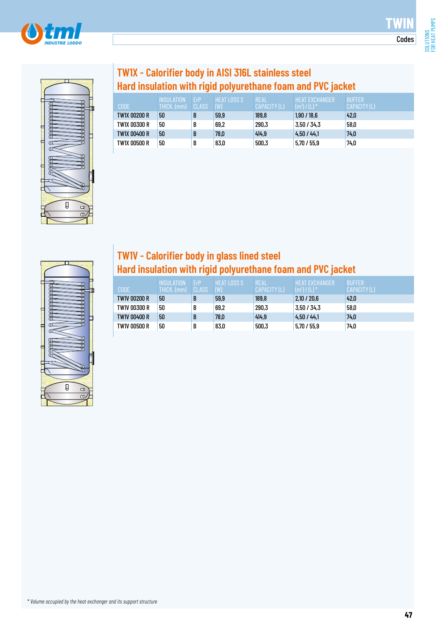



## **TW1X - Calorifier body in AISI 316L stainless steel Hard insulation with rigid polyurethane foam and PVC jacket**

| <b>CODE</b>  | <b>INSULATION</b><br>THICK. (mm) | <b>FrP</b><br>CLASS | <b>HEAT LOSS S</b><br>(W) | <b>REAL</b><br>CAPACITY (L) | <b>HEAT EXCHANGER</b><br>$(m^2) / (L)^*$ | <b>BUFFER</b><br>CAPACITY (L) |
|--------------|----------------------------------|---------------------|---------------------------|-----------------------------|------------------------------------------|-------------------------------|
| TW1X 00200 R | 50                               |                     | 59,9                      | 189,8                       | 1,90/18.6                                | 42.0                          |
| TW1X 00300 R | 50                               |                     | 69,2                      | 290,3                       | 3,50 / 34,3                              | 58,0                          |
| TW1X 00400 R | 50                               |                     | 78,0                      | 414.9                       | 4.50 / 44.1                              | 74,0                          |
| TW1X 00500 R | 50                               | B                   | 83,0                      | 500,3                       | 5.70 / 55.9                              | 74,0                          |



### **TW1V - Calorifier body in glass lined steel Hard insulation with rigid polyurethane foam and PVC jacket**

| <b>CODE</b>  | INSULATION<br>THICK. (mm) | <b>FrP</b><br>CLASS | <b>HEAT LOSS S</b><br>(W) | <b>REAL</b><br>CAPACITY (L) | HEAT EXCHANGER'<br>$(m^2) / (L)^*$ | <b>BUFFER</b><br>CAPACITY (L) |
|--------------|---------------------------|---------------------|---------------------------|-----------------------------|------------------------------------|-------------------------------|
| TW1V 00200 R | 50                        | B                   | 59,9                      | 189,8                       | 2,10/20,6                          | 42.0                          |
| TW1V 00300 R | 50                        | B                   | 69,2                      | 290,3                       | 3.50 / 34.3                        | 58,0                          |
| TW1V 00400 R | 50                        | B                   | 78,0                      | 414.9                       | 4.50 / 44.1                        | 74.0                          |
| TW1V 00500 R | 50                        | B                   | 83,0                      | 500,3                       | 5,70/55,9                          | 74.0                          |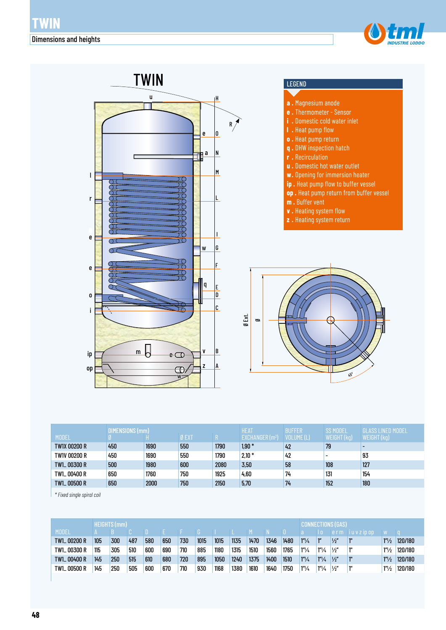



|                     | DIMENSIONS (mm) |      |       |      | <b>HEAT</b>                        | <b>BUFFER</b> | <b>SS MODEL</b>          | GI ASS LINED MODEL |
|---------------------|-----------------|------|-------|------|------------------------------------|---------------|--------------------------|--------------------|
| <b>MODEL</b>        |                 |      | Ø EXT |      | <b>EXCHANGER</b> (m <sup>2</sup> ) | VOLUME (L)    | WEIGHT (kg)              | WEIGHT (kg)        |
| <b>TW1X 00200 R</b> | 450             | 1690 | 550   | 1790 | $1.90*$                            | 42            | 79                       |                    |
| TW1V 00200 R        | 450             | 1690 | 550   | 1790 | $2,10*$                            | 42            | $\overline{\phantom{0}}$ | 93                 |
| TW1_00300 R         | 500             | 1980 | 600   | 2080 | 3,50                               | 58            | 108                      | 127                |
| TW1_00400 R         | 650             | 1760 | 750   | 1925 | 4,60                               | 74            | 131                      | 154                |
| TW1_00500 R         | 650             | 2000 | 750   | 2150 | 5,70                               | 74            | 152                      | 180                |

*\* Fixed single spiral coil*

|              |     | <b>HEIGHTS (mm)</b> |     |     |     |     |      |      |      |      |      | <b>CONNECTIONS (GAS)</b> |                      |                             |               |              |                       |                        |
|--------------|-----|---------------------|-----|-----|-----|-----|------|------|------|------|------|--------------------------|----------------------|-----------------------------|---------------|--------------|-----------------------|------------------------|
| <b>MODEL</b> |     |                     |     |     |     |     |      |      |      |      |      |                          |                      | l o                         |               | erm iuvzipop | W                     |                        |
| TW1_00200 R  | 105 | 300                 | 487 | 580 | 650 | 730 | 1015 | 1015 | 1135 | 1470 | 1346 | 1480                     | $1^{\prime\prime}/4$ | $\mathbf{I}^{\prime\prime}$ | $\frac{1}{2}$ |              | 1 <sup>n</sup> /2     | 120/180                |
| TW1_00300 R  | 115 | 305                 | 510 | 600 | 690 | 710 | 885  | 1180 | 1315 | 1510 | 1560 | 1765                     | $1''\frac{1}{4}$     | $1^{\prime\prime}/4$        | 1/2''         |              | 1 <sup>n</sup> /2     | 120/180                |
| TW1_00400 R  | 145 | 250                 | 515 | 610 | 680 | 720 | 895  | 1050 | 1240 | 1375 | 1400 | 1510                     | $1''\frac{1}{4}$     | $1^{\prime\prime}/4$        | 1/2           |              |                       | $1\frac{1}{2}$ 120/180 |
| TW1_00500 R  | 145 | 250                 | 505 | 600 | 670 | 710 | 930  | 1168 | 1380 | 1610 | 1640 | 1750                     | $1^{\prime\prime}/4$ | $1^{\prime\prime}/4$        | $\frac{1}{2}$ |              | $1^{\prime\prime}/_2$ | 120/180                |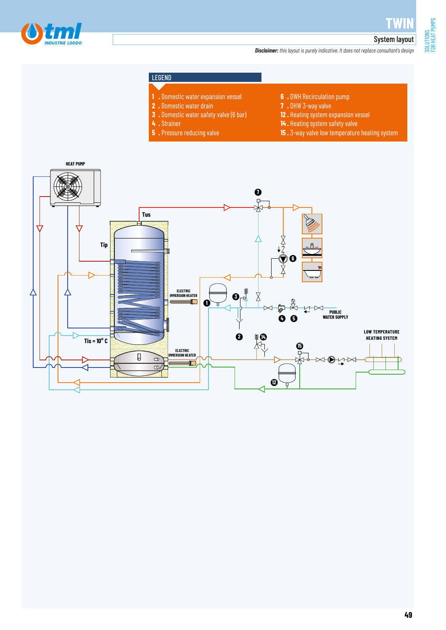**TWIN**

### System layout *Disclaimer: this layout is purely indicative. It does not replace consultant's design*

### LEGEND

- **1 .** Domestic water expansion vessel
- **2 .** Domestic water drain
- **3 .** Domestic water safety valve (6 bar)
- **4 .** Strainer
- **5 .** Pressure reducing valve
- **6 .** DWH Recirculation pump
- **7 .** DHW 3-way valve
- **12 .** Heating system expansion vessel
- **14 .** Heating system safety valve
- **15 .** 3-way valve low temperature heating system

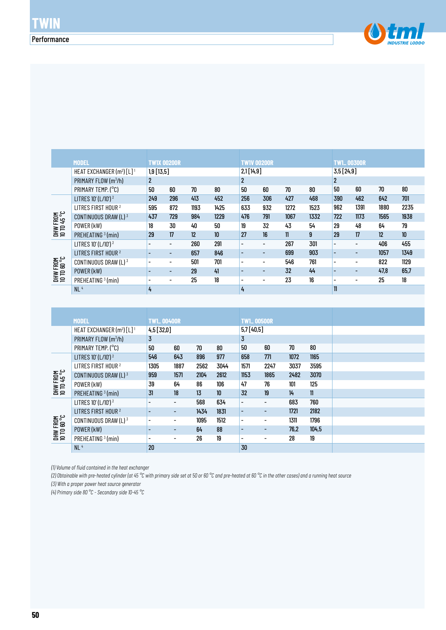

|                                | <b>MODEL</b>                            | <b>TW1X 00200R</b> |     |      |      | <b>TWIV 00200R</b>       |                          |      |      | <b>TW1_00300R</b>        |                          |      |                  |
|--------------------------------|-----------------------------------------|--------------------|-----|------|------|--------------------------|--------------------------|------|------|--------------------------|--------------------------|------|------------------|
|                                | HEAT EXCHANGER $(m^2)$ [L] <sup>1</sup> | $1,9$ [13,5]       |     |      |      | 2,1[14,9]                |                          |      |      | 3,5[24,9]                |                          |      |                  |
|                                | PRIMARY FLOW (m <sup>3</sup> /h)        | $\overline{2}$     |     |      |      | $\overline{c}$           |                          |      |      | 2                        |                          |      |                  |
|                                | PRIMARY TEMP. (°C)                      | 50                 | 60  | 70   | 80   | 50                       | 60                       | 70   | 80   | 50                       | 60                       | 70   | 80               |
|                                | LITRES 10' (L/10') <sup>2</sup>         | 249                | 296 | 413  | 452  | 256                      | 306                      | 427  | 468  | 390                      | 462                      | 642  | 701              |
|                                | LITRES FIRST HOUR <sup>2</sup>          | 595                | 872 | 1193 | 1425 | 633                      | 932                      | 1272 | 1523 | 962                      | 1391                     | 1880 | 2235             |
| DHW FROM<br>10 TO 45 °C        | CONTINUOUS DRAW $(L)^3$                 | 437                | 729 | 984  | 1229 | 476                      | 791                      | 1067 | 1332 | 722                      | 1173                     | 1565 | 1938             |
|                                | POWER (kW)                              | 18                 | 30  | 40   | 50   | 19                       | 32                       | 43   | 54   | 29                       | 48                       | 64   | 79               |
|                                | PREHEATING <sup>3</sup> (min)           | 29                 | 17  | 12   | 10   | 27                       | 16                       | 11   | 9    | 29                       | 17                       | 12   | 10 <sup>10</sup> |
|                                | LITRES 10' (L/10') <sup>2</sup>         |                    | -   | 260  | 291  | $\overline{\phantom{a}}$ | $\overline{\phantom{a}}$ | 267  | 301  |                          | $\overline{\phantom{0}}$ | 406  | 455              |
|                                | LITRES FIRST HOUR <sup>2</sup>          |                    | -   | 657  | 846  | $\overline{\phantom{0}}$ | $\overline{\phantom{0}}$ | 699  | 903  |                          | $\overline{\phantom{0}}$ | 1057 | 1349             |
| <b>DHW FROM</b><br>10 TO 60 °C | CONTINUOUS DRAW (L) $3$                 |                    | -   | 501  | 701  | $\overline{\phantom{a}}$ | $\overline{\phantom{a}}$ | 546  | 761  | $\overline{\phantom{0}}$ | $\overline{\phantom{0}}$ | 822  | 1129             |
|                                | POWER (kW)                              | ۰                  | -   | 29   | 41   | $\overline{\phantom{0}}$ | $\overline{\phantom{a}}$ | 32   | 44   | $\overline{\phantom{0}}$ | $\overline{\phantom{0}}$ | 47.8 | 65.7             |
|                                | PREHEATING <sup>3</sup> (min)           |                    | -   | 25   | 18   | ٠                        | $\overline{\phantom{a}}$ | 23   | 16   |                          |                          | 25   | 18               |
|                                | NL <sup>4</sup>                         | 4                  |     |      |      | 4                        |                          |      |      | 11                       |                          |      |                  |

| <b>DHW FROM<br/>10 TD 60 °C</b> | CONTINUOUS DRAW (L) $3$                           |                   |                              | 501  | 701             | -                        | ٠                        | 546  | 761           |                          |                          | 822  | 1129 |
|---------------------------------|---------------------------------------------------|-------------------|------------------------------|------|-----------------|--------------------------|--------------------------|------|---------------|--------------------------|--------------------------|------|------|
|                                 | POWER (kW)                                        | -                 | ٠                            | 29   | 41              | -                        | $\overline{\phantom{a}}$ | 32   | 44            | $\overline{\phantom{a}}$ | $\overline{\phantom{0}}$ | 47,8 | 65,7 |
|                                 | PREHEATING <sup>3</sup> (min)                     | $\blacksquare$    | Ξ.                           | 25   | 18              | $\blacksquare$           | $\overline{\phantom{a}}$ | 23   | 16            | $\overline{\phantom{0}}$ | $\blacksquare$           | 25   | 18   |
|                                 | NL <sup>4</sup>                                   | 4                 |                              |      |                 | 4                        |                          |      |               | $\mathbf{1}$             |                          |      |      |
|                                 |                                                   |                   |                              |      |                 |                          |                          |      |               |                          |                          |      |      |
|                                 |                                                   |                   |                              |      |                 |                          |                          |      |               |                          |                          |      |      |
|                                 | <b>MODEL</b>                                      | <b>TW1_00400R</b> |                              |      |                 | <b>TW1_00500R</b>        |                          |      |               |                          |                          |      |      |
|                                 | HEAT EXCHANGER (m <sup>2</sup> ) [L] <sup>1</sup> | 4,5 [32,0]        |                              |      |                 | 5,7[40,5]                |                          |      |               |                          |                          |      |      |
|                                 | PRIMARY FLOW (m <sup>3</sup> /h)                  | 3                 |                              |      |                 | 3                        |                          |      |               |                          |                          |      |      |
|                                 | PRIMARY TEMP. (°C)                                | 50                | 60                           | 70   | 80              | 50                       | 60                       | 70   | 80            |                          |                          |      |      |
|                                 | LITRES 10' (L/10') <sup>2</sup>                   | 546               | 643                          | 896  | 977             | 658                      | 771                      | 1072 | 1165          |                          |                          |      |      |
|                                 | LITRES FIRST HOUR <sup>2</sup>                    | 1305              | 1887                         | 2562 | 3044            | 1571                     | 2247                     | 3037 | 3595          |                          |                          |      |      |
| <b>DHW FROM<br/>10 TD 45 °C</b> | CONTINUOUS DRAW $(L)^3$                           | 959               | 1571                         | 2104 | 2612            | 1153                     | 1865                     | 2482 | 3070          |                          |                          |      |      |
|                                 | POWER (kW)                                        | 39                | 64                           | 86   | 106             | 47                       | 76                       | 101  | 125           |                          |                          |      |      |
|                                 | PREHEATING <sup>3</sup> (min)                     | 31                | 18                           | 13   | 10 <sup>°</sup> | 32                       | 19                       | 14   | $\mathbf{11}$ |                          |                          |      |      |
|                                 | LITRES 10' (L/10') <sup>2</sup>                   | $\blacksquare$    | Ξ.                           | 568  | 634             | $\overline{\phantom{a}}$ | $\overline{\phantom{0}}$ | 683  | 760           |                          |                          |      |      |
|                                 | LITRES FIRST HOUR <sup>2</sup>                    |                   | ٠                            | 1434 | 1831            | $\overline{\phantom{a}}$ | ٠                        | 1721 | 2182          |                          |                          |      |      |
|                                 | CONTINUOUS DRAW (L) 3                             |                   | $\overline{\phantom{a}}$     | 1095 | 1512            | $\overline{\phantom{a}}$ | -                        | 1311 | 1796          |                          |                          |      |      |
| DHW FROM<br>10 TO 60 °C         | POWER (kW)                                        | ۰                 | -                            | 64   | 88              | $\overline{\phantom{a}}$ | ٠                        | 76,2 | 104,5         |                          |                          |      |      |
|                                 | PREHEATING <sup>3</sup> (min)                     |                   | $\qquad \qquad \blacksquare$ | 26   | 19              | $\overline{\phantom{0}}$ | -                        | 28   | 19            |                          |                          |      |      |
|                                 | NL <sup>4</sup>                                   | 20                |                              |      |                 | 30                       |                          |      |               |                          |                          |      |      |

*(1) Volume of fluid contained in the heat exchanger*

*(2) Obtainable with pre-heated cylinder (at 45 °C with primary side set at 50 or 60 °C and pre-heated at 60 °C in the other cases) and a running heat source*

*(3) With a proper power heat source generator*

*(4) Primary side 80 °C - Secondary side 10-45 °C*